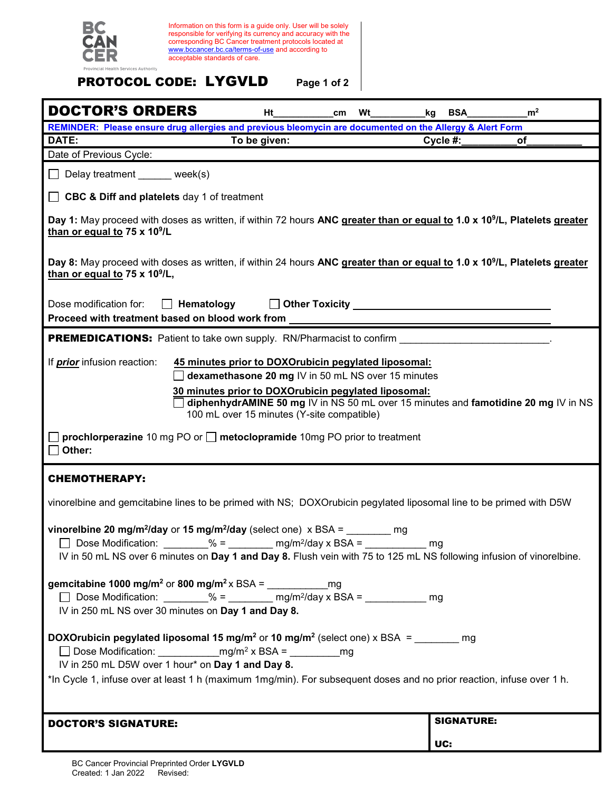

Information on this form is a guide only. User will be solely responsible for verifying its currency and accuracy with the corresponding BC Cancer treatment protocols located at [www.bccancer.bc.ca/terms-of-use](http://www.bccancer.bc.ca/terms-of-use) and according to acceptable standards of care.

## PROTOCOL CODE: LYGVLD **Page 1 of 2**

| <b>DOCTOR'S ORDERS</b>                                                                                                                                                                                                                                                                      | Ht           | cm <sub>2</sub> | Wt | kg | <b>BSA</b>        | m <sup>2</sup> |  |  |
|---------------------------------------------------------------------------------------------------------------------------------------------------------------------------------------------------------------------------------------------------------------------------------------------|--------------|-----------------|----|----|-------------------|----------------|--|--|
| REMINDER: Please ensure drug allergies and previous bleomycin are documented on the Allergy & Alert Form                                                                                                                                                                                    |              |                 |    |    |                   |                |  |  |
| DATE:                                                                                                                                                                                                                                                                                       | To be given: |                 |    |    | $C$ ycle #:       | оf             |  |  |
| Date of Previous Cycle:                                                                                                                                                                                                                                                                     |              |                 |    |    |                   |                |  |  |
| Delay treatment _____ week(s)                                                                                                                                                                                                                                                               |              |                 |    |    |                   |                |  |  |
| <b>CBC &amp; Diff and platelets</b> day 1 of treatment                                                                                                                                                                                                                                      |              |                 |    |    |                   |                |  |  |
| Day 1: May proceed with doses as written, if within 72 hours ANC greater than or equal to 1.0 x 10 <sup>9</sup> /L, Platelets greater<br>than or equal to 75 x 10 <sup>9</sup> /L                                                                                                           |              |                 |    |    |                   |                |  |  |
| Day 8: May proceed with doses as written, if within 24 hours ANC greater than or equal to 1.0 x 10 <sup>9</sup> /L, Platelets greater<br>than or equal to 75 x 10 <sup>9</sup> /L,                                                                                                          |              |                 |    |    |                   |                |  |  |
| Dose modification for:<br>Hematology<br>Proceed with treatment based on blood work from                                                                                                                                                                                                     |              |                 |    |    |                   |                |  |  |
| <b>PREMEDICATIONS:</b> Patient to take own supply. RN/Pharmacist to confirm                                                                                                                                                                                                                 |              |                 |    |    |                   |                |  |  |
| If <i>prior</i> infusion reaction:<br>45 minutes prior to DOXOrubicin pegylated liposomal:                                                                                                                                                                                                  |              |                 |    |    |                   |                |  |  |
| dexamethasone 20 mg IV in 50 mL NS over 15 minutes                                                                                                                                                                                                                                          |              |                 |    |    |                   |                |  |  |
| 30 minutes prior to DOXOrubicin pegylated liposomal:<br>diphenhydrAMINE 50 mg IV in NS 50 mL over 15 minutes and famotidine 20 mg IV in NS<br>100 mL over 15 minutes (Y-site compatible)                                                                                                    |              |                 |    |    |                   |                |  |  |
| <b>prochlorperazine</b> 10 mg PO or $\Box$ <b>metoclopramide</b> 10mg PO prior to treatment<br>Other:                                                                                                                                                                                       |              |                 |    |    |                   |                |  |  |
| <b>CHEMOTHERAPY:</b>                                                                                                                                                                                                                                                                        |              |                 |    |    |                   |                |  |  |
| vinorelbine and gemcitabine lines to be primed with NS; DOXOrubicin pegylated liposomal line to be primed with D5W                                                                                                                                                                          |              |                 |    |    |                   |                |  |  |
| vinorelbine 20 mg/m <sup>2</sup> /day or 15 mg/m <sup>2</sup> /day (select one) $\times$ BSA =<br>mg<br>Dose Modification:<br>$\% =$<br>$mg/m^2$ /day x BSA =<br>mq<br>IV in 50 mL NS over 6 minutes on Day 1 and Day 8. Flush vein with 75 to 125 mL NS following infusion of vinorelbine. |              |                 |    |    |                   |                |  |  |
| gemcitabine 1000 mg/m <sup>2</sup> or 800 mg/m <sup>2</sup> x BSA = ________________________________<br>Dose Modification: $\frac{96}{2} = \frac{mg}{m^2}$ ay x BSA = $\frac{mg}{m^2}$ mg<br>IV in 250 mL NS over 30 minutes on Day 1 and Day 8.                                            |              |                 |    |    |                   |                |  |  |
| <b>DOXOrubicin pegylated liposomal 15 mg/m<sup>2</sup> or 10 mg/m<sup>2</sup> (select one) x BSA = _______ mg</b><br>IV in 250 mL D5W over 1 hour* on Day 1 and Day 8.                                                                                                                      |              |                 |    |    |                   |                |  |  |
| *In Cycle 1, infuse over at least 1 h (maximum 1mg/min). For subsequent doses and no prior reaction, infuse over 1 h.                                                                                                                                                                       |              |                 |    |    |                   |                |  |  |
|                                                                                                                                                                                                                                                                                             |              |                 |    |    |                   |                |  |  |
| <b>DOCTOR'S SIGNATURE:</b>                                                                                                                                                                                                                                                                  |              |                 |    |    | <b>SIGNATURE:</b> |                |  |  |
|                                                                                                                                                                                                                                                                                             |              |                 |    |    | UC:               |                |  |  |